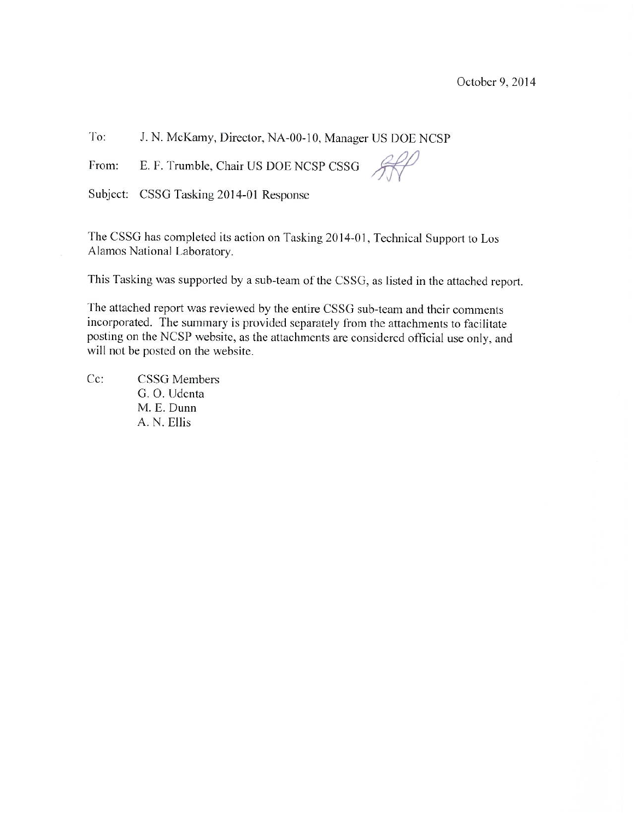To: J. N. McKamy, Director, NA-00-10, Manager US DOE NCSP

E. F. Trumble, Chair US DOE NCSP CSSG From:

Subject: CSSG Tasking 2014-01 Response

The CSSG has completed its action on Tasking 2014-01, Technical Support to Los Alamos National Laboratory.

This Tasking was supported by a sub-team of the CSSG, as listed in the attached report.

The attached report was reviewed by the entire CSSG sub-team and their comments incorporated. The summary is provided separately from the attachments to facilitate posting on the NCSP website, as the attachments are considered official use only, and will not be posted on the website.

Cc: **CSSG** Members G. O. Udenta M. E. Dunn A. N. Ellis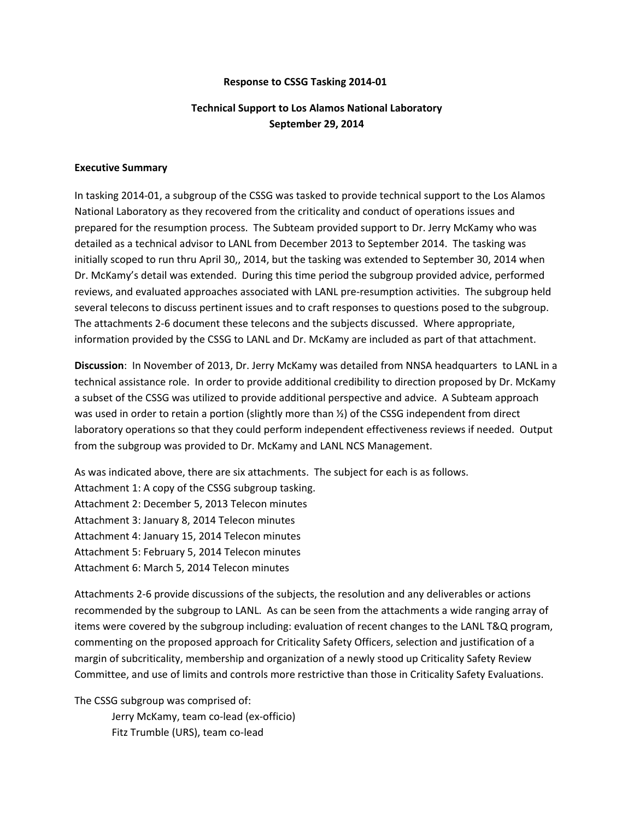## **Response to CSSG Tasking 2014‐01**

## **Technical Support to Los Alamos National Laboratory September 29, 2014**

## **Executive Summary**

In tasking 2014‐01, a subgroup of the CSSG was tasked to provide technical support to the Los Alamos National Laboratory as they recovered from the criticality and conduct of operations issues and prepared for the resumption process. The Subteam provided support to Dr. Jerry McKamy who was detailed as a technical advisor to LANL from December 2013 to September 2014. The tasking was initially scoped to run thru April 30,, 2014, but the tasking was extended to September 30, 2014 when Dr. McKamy's detail was extended. During this time period the subgroup provided advice, performed reviews, and evaluated approaches associated with LANL pre‐resumption activities. The subgroup held several telecons to discuss pertinent issues and to craft responses to questions posed to the subgroup. The attachments 2-6 document these telecons and the subjects discussed. Where appropriate, information provided by the CSSG to LANL and Dr. McKamy are included as part of that attachment.

**Discussion**: In November of 2013, Dr. Jerry McKamy was detailed from NNSA headquarters to LANL in a technical assistance role. In order to provide additional credibility to direction proposed by Dr. McKamy a subset of the CSSG was utilized to provide additional perspective and advice. A Subteam approach was used in order to retain a portion (slightly more than  $\frac{1}{2}$ ) of the CSSG independent from direct laboratory operations so that they could perform independent effectiveness reviews if needed. Output from the subgroup was provided to Dr. McKamy and LANL NCS Management.

As was indicated above, there are six attachments. The subject for each is as follows. Attachment 1: A copy of the CSSG subgroup tasking. Attachment 2: December 5, 2013 Telecon minutes Attachment 3: January 8, 2014 Telecon minutes Attachment 4: January 15, 2014 Telecon minutes Attachment 5: February 5, 2014 Telecon minutes Attachment 6: March 5, 2014 Telecon minutes

Attachments 2‐6 provide discussions of the subjects, the resolution and any deliverables or actions recommended by the subgroup to LANL. As can be seen from the attachments a wide ranging array of items were covered by the subgroup including: evaluation of recent changes to the LANL T&Q program, commenting on the proposed approach for Criticality Safety Officers, selection and justification of a margin of subcriticality, membership and organization of a newly stood up Criticality Safety Review Committee, and use of limits and controls more restrictive than those in Criticality Safety Evaluations.

The CSSG subgroup was comprised of:

Jerry McKamy, team co‐lead (ex‐officio) Fitz Trumble (URS), team co‐lead